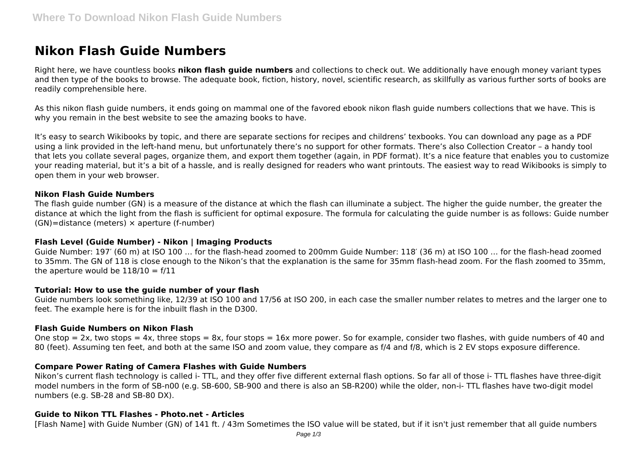# **Nikon Flash Guide Numbers**

Right here, we have countless books **nikon flash guide numbers** and collections to check out. We additionally have enough money variant types and then type of the books to browse. The adequate book, fiction, history, novel, scientific research, as skillfully as various further sorts of books are readily comprehensible here.

As this nikon flash guide numbers, it ends going on mammal one of the favored ebook nikon flash guide numbers collections that we have. This is why you remain in the best website to see the amazing books to have.

It's easy to search Wikibooks by topic, and there are separate sections for recipes and childrens' texbooks. You can download any page as a PDF using a link provided in the left-hand menu, but unfortunately there's no support for other formats. There's also Collection Creator – a handy tool that lets you collate several pages, organize them, and export them together (again, in PDF format). It's a nice feature that enables you to customize your reading material, but it's a bit of a hassle, and is really designed for readers who want printouts. The easiest way to read Wikibooks is simply to open them in your web browser.

## **Nikon Flash Guide Numbers**

The flash guide number (GN) is a measure of the distance at which the flash can illuminate a subject. The higher the guide number, the greater the distance at which the light from the flash is sufficient for optimal exposure. The formula for calculating the guide number is as follows: Guide number  $(GN)$ =distance (meters)  $\times$  aperture (f-number)

## **Flash Level (Guide Number) - Nikon | Imaging Products**

Guide Number: 197′ (60 m) at ISO 100 … for the flash-head zoomed to 200mm Guide Number: 118′ (36 m) at ISO 100 … for the flash-head zoomed to 35mm. The GN of 118 is close enough to the Nikon's that the explanation is the same for 35mm flash-head zoom. For the flash zoomed to 35mm, the aperture would be  $118/10 = f/11$ 

## **Tutorial: How to use the guide number of your flash**

Guide numbers look something like, 12/39 at ISO 100 and 17/56 at ISO 200, in each case the smaller number relates to metres and the larger one to feet. The example here is for the inbuilt flash in the D300.

## **Flash Guide Numbers on Nikon Flash**

One stop = 2x, two stops = 4x, three stops = 8x, four stops = 16x more power. So for example, consider two flashes, with quide numbers of 40 and 80 (feet). Assuming ten feet, and both at the same ISO and zoom value, they compare as f/4 and f/8, which is 2 EV stops exposure difference.

## **Compare Power Rating of Camera Flashes with Guide Numbers**

Nikon's current flash technology is called i- TTL, and they offer five different external flash options. So far all of those i- TTL flashes have three-digit model numbers in the form of SB-n00 (e.g. SB-600, SB-900 and there is also an SB-R200) while the older, non-i- TTL flashes have two-digit model numbers (e.g. SB-28 and SB-80 DX).

# **Guide to Nikon TTL Flashes - Photo.net - Articles**

[Flash Name] with Guide Number (GN) of 141 ft. / 43m Sometimes the ISO value will be stated, but if it isn't just remember that all guide numbers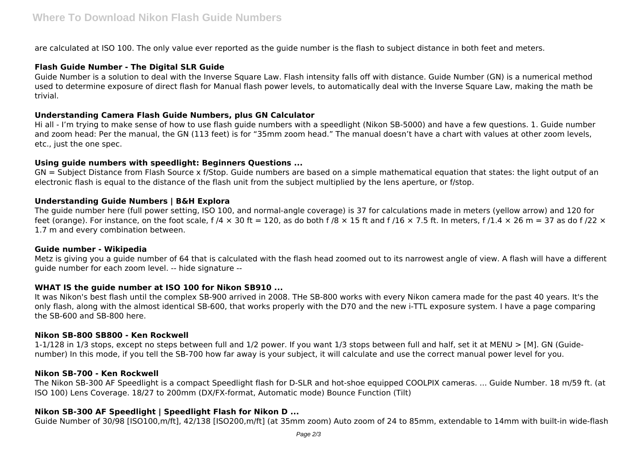are calculated at ISO 100. The only value ever reported as the guide number is the flash to subject distance in both feet and meters.

## **Flash Guide Number - The Digital SLR Guide**

Guide Number is a solution to deal with the Inverse Square Law. Flash intensity falls off with distance. Guide Number (GN) is a numerical method used to determine exposure of direct flash for Manual flash power levels, to automatically deal with the Inverse Square Law, making the math be trivial.

## **Understanding Camera Flash Guide Numbers, plus GN Calculator**

Hi all - I'm trying to make sense of how to use flash guide numbers with a speedlight (Nikon SB-5000) and have a few questions. 1. Guide number and zoom head: Per the manual, the GN (113 feet) is for "35mm zoom head." The manual doesn't have a chart with values at other zoom levels, etc., just the one spec.

## **Using guide numbers with speedlight: Beginners Questions ...**

GN = Subject Distance from Flash Source x f/Stop. Guide numbers are based on a simple mathematical equation that states: the light output of an electronic flash is equal to the distance of the flash unit from the subject multiplied by the lens aperture, or f/stop.

## **Understanding Guide Numbers | B&H Explora**

The guide number here (full power setting, ISO 100, and normal-angle coverage) is 37 for calculations made in meters (yellow arrow) and 120 for feet (orange). For instance, on the foot scale, f /4  $\times$  30 ft = 120, as do both f /8  $\times$  15 ft and f /16  $\times$  7.5 ft. In meters, f /1.4  $\times$  26 m = 37 as do f /22  $\times$ 1.7 m and every combination between.

## **Guide number - Wikipedia**

Metz is giving you a guide number of 64 that is calculated with the flash head zoomed out to its narrowest angle of view. A flash will have a different guide number for each zoom level. -- hide signature --

## **WHAT IS the guide number at ISO 100 for Nikon SB910 ...**

It was Nikon's best flash until the complex SB-900 arrived in 2008. THe SB-800 works with every Nikon camera made for the past 40 years. It's the only flash, along with the almost identical SB-600, that works properly with the D70 and the new i-TTL exposure system. I have a page comparing the SB-600 and SB-800 here.

## **Nikon SB-800 SB800 - Ken Rockwell**

1-1/128 in 1/3 stops, except no steps between full and 1/2 power. If you want 1/3 stops between full and half, set it at MENU > [M]. GN (Guidenumber) In this mode, if you tell the SB-700 how far away is your subject, it will calculate and use the correct manual power level for you.

## **Nikon SB-700 - Ken Rockwell**

The Nikon SB-300 AF Speedlight is a compact Speedlight flash for D-SLR and hot-shoe equipped COOLPIX cameras. ... Guide Number. 18 m/59 ft. (at ISO 100) Lens Coverage. 18/27 to 200mm (DX/FX-format, Automatic mode) Bounce Function (Tilt)

# **Nikon SB-300 AF Speedlight | Speedlight Flash for Nikon D ...**

Guide Number of 30/98 [ISO100,m/ft], 42/138 [ISO200,m/ft] (at 35mm zoom) Auto zoom of 24 to 85mm, extendable to 14mm with built-in wide-flash